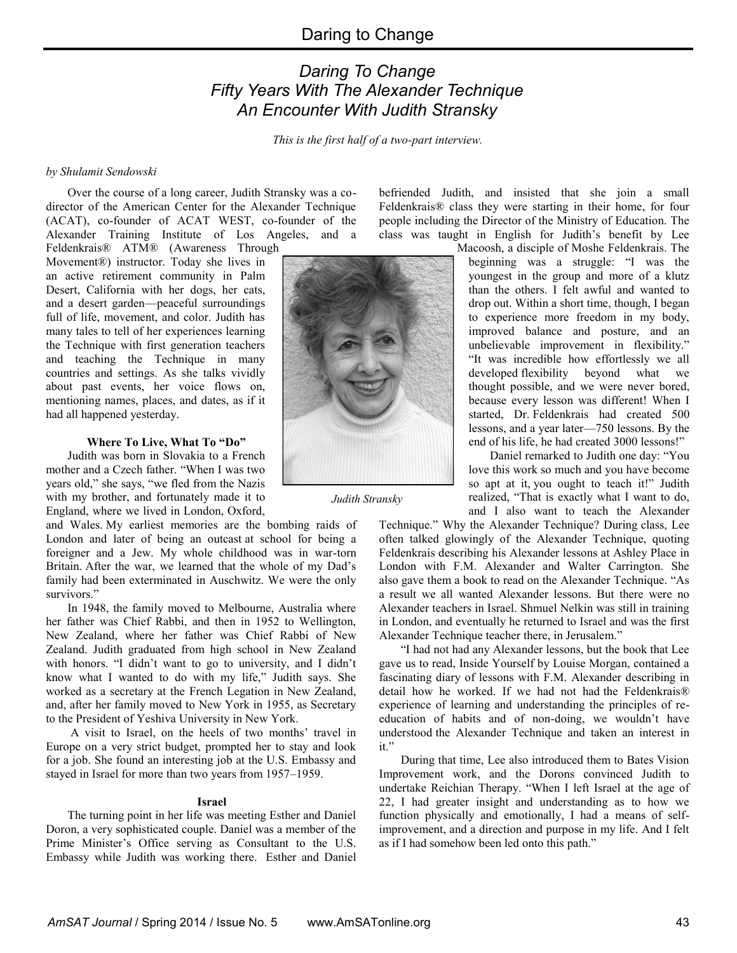# *Daring To Change Fifty Years With The Alexander Technique An Encounter With Judith Stransky*

*This is the first half of a two-part interview.*

## *by Shulamit Sendowski*

Over the course of a long career, Judith Stransky was a codirector of the American Center for the Alexander Technique (ACAT), co-founder of ACAT WEST, co-founder of the Alexander Training Institute of Los Angeles, and a

Feldenkrais® ATM® (Awareness Through Movement®) instructor. Today she lives in an active retirement community in Palm Desert, California with her dogs, her cats, and a desert garden—peaceful surroundings full of life, movement, and color. Judith has many tales to tell of her experiences learning the Technique with first generation teachers and teaching the Technique in many countries and settings. As she talks vividly about past events, her voice flows on, mentioning names, places, and dates, as if it had all happened yesterday.

#### **Where To Live, What To "Do"**

Judith was born in Slovakia to a French mother and a Czech father. "When I was two years old," she says, "we fled from the Nazis with my brother, and fortunately made it to England, where we lived in London, Oxford,

and Wales. My earliest memories are the bombing raids of London and later of being an outcast at school for being a foreigner and a Jew. My whole childhood was in war-torn Britain. After the war, we learned that the whole of my Dad's family had been exterminated in Auschwitz. We were the only survivors."

In 1948, the family moved to Melbourne, Australia where her father was Chief Rabbi, and then in 1952 to Wellington, New Zealand, where her father was Chief Rabbi of New Zealand. Judith graduated from high school in New Zealand with honors. "I didn't want to go to university, and I didn't know what I wanted to do with my life," Judith says. She worked as a secretary at the French Legation in New Zealand, and, after her family moved to New York in 1955, as Secretary to the President of Yeshiva University in New York.

A visit to Israel, on the heels of two months' travel in Europe on a very strict budget, prompted her to stay and look for a job. She found an interesting job at the U.S. Embassy and stayed in Israel for more than two years from 1957–1959.

#### **Israel**

The turning point in her life was meeting Esther and Daniel Doron, a very sophisticated couple. Daniel was a member of the Prime Minister's Office serving as Consultant to the U.S. Embassy while Judith was working there. Esther and Daniel befriended Judith, and insisted that she join a small Feldenkrais® class they were starting in their home, for four people including the Director of the Ministry of Education. The class was taught in English for Judith's benefit by Lee

Macoosh, a disciple of Moshe Feldenkrais. The beginning was a struggle: "I was the youngest in the group and more of a klutz than the others. I felt awful and wanted to drop out. Within a short time, though, I began to experience more freedom in my body, improved balance and posture, and an unbelievable improvement in flexibility." "It was incredible how effortlessly we all developed flexibility beyond what we thought possible, and we were never bored, because every lesson was different! When I started, Dr. Feldenkrais had created 500 lessons, and a year later––750 lessons. By the end of his life, he had created 3000 lessons!"

 Daniel remarked to Judith one day: "You love this work so much and you have become so apt at it, you ought to teach it!" Judith realized, "That is exactly what I want to do, and I also want to teach the Alexander

Technique." Why the Alexander Technique? During class, Lee often talked glowingly of the Alexander Technique, quoting Feldenkrais describing his Alexander lessons at Ashley Place in London with F.M. Alexander and Walter Carrington. She also gave them a book to read on the Alexander Technique. "As a result we all wanted Alexander lessons. But there were no Alexander teachers in Israel. Shmuel Nelkin was still in training in London, and eventually he returned to Israel and was the first Alexander Technique teacher there, in Jerusalem."

"I had not had any Alexander lessons, but the book that Lee gave us to read, Inside Yourself by Louise Morgan, contained a fascinating diary of lessons with F.M. Alexander describing in detail how he worked. If we had not had the Feldenkrais® experience of learning and understanding the principles of reeducation of habits and of non-doing, we wouldn't have understood the Alexander Technique and taken an interest in it."

During that time, Lee also introduced them to Bates Vision Improvement work, and the Dorons convinced Judith to undertake Reichian Therapy. "When I left Israel at the age of 22, I had greater insight and understanding as to how we function physically and emotionally, I had a means of selfimprovement, and a direction and purpose in my life. And I felt as if I had somehow been led onto this path."

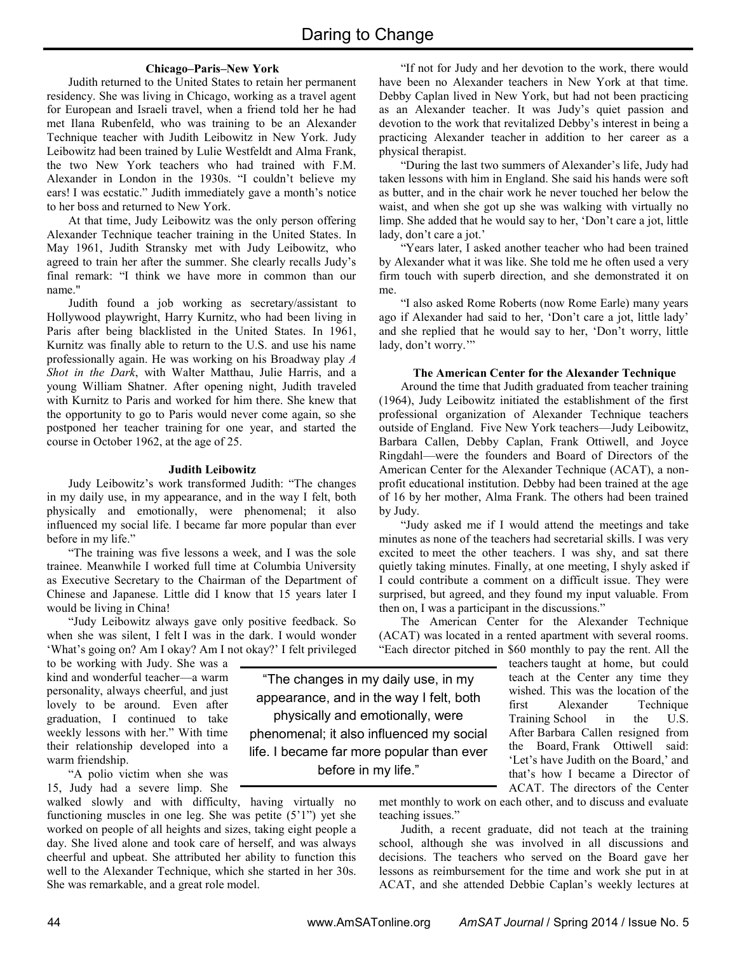## **Chicago–Paris–New York**

Judith returned to the United States to retain her permanent residency. She was living in Chicago, working as a travel agent for European and Israeli travel, when a friend told her he had met Ilana Rubenfeld, who was training to be an Alexander Technique teacher with Judith Leibowitz in New York. Judy Leibowitz had been trained by Lulie Westfeldt and Alma Frank, the two New York teachers who had trained with F.M. Alexander in London in the 1930s. "I couldn't believe my ears! I was ecstatic." Judith immediately gave a month's notice to her boss and returned to New York.

At that time, Judy Leibowitz was the only person offering Alexander Technique teacher training in the United States. In May 1961, Judith Stransky met with Judy Leibowitz, who agreed to train her after the summer. She clearly recalls Judy's final remark: "I think we have more in common than our name."

Judith found a job working as secretary/assistant to Hollywood playwright, Harry Kurnitz, who had been living in Paris after being blacklisted in the United States. In 1961, Kurnitz was finally able to return to the U.S. and use his name professionally again. He was working on his Broadway play *A Shot in the Dark*, with Walter Matthau, Julie Harris, and a young William Shatner. After opening night, Judith traveled with Kurnitz to Paris and worked for him there. She knew that the opportunity to go to Paris would never come again, so she postponed her teacher training for one year, and started the course in October 1962, at the age of 25.

#### **Judith Leibowitz**

Judy Leibowitz's work transformed Judith: "The changes in my daily use, in my appearance, and in the way I felt, both physically and emotionally, were phenomenal; it also influenced my social life. I became far more popular than ever before in my life."

"The training was five lessons a week, and I was the sole trainee. Meanwhile I worked full time at Columbia University as Executive Secretary to the Chairman of the Department of Chinese and Japanese. Little did I know that 15 years later I would be living in China!

"Judy Leibowitz always gave only positive feedback. So when she was silent, I felt I was in the dark. I would wonder 'What's going on? Am I okay? Am I not okay?' I felt privileged

to be working with Judy. She was a kind and wonderful teacher—a warm personality, always cheerful, and just lovely to be around. Even after graduation, I continued to take weekly lessons with her." With time their relationship developed into a warm friendship.

"A polio victim when she was 15, Judy had a severe limp. She

walked slowly and with difficulty, having virtually no functioning muscles in one leg. She was petite  $(5'1'')$  yet she worked on people of all heights and sizes, taking eight people a day. She lived alone and took care of herself, and was always cheerful and upbeat. She attributed her ability to function this well to the Alexander Technique, which she started in her 30s. She was remarkable, and a great role model.

"If not for Judy and her devotion to the work, there would have been no Alexander teachers in New York at that time. Debby Caplan lived in New York, but had not been practicing as an Alexander teacher. It was Judy's quiet passion and devotion to the work that revitalized Debby's interest in being a practicing Alexander teacher in addition to her career as a physical therapist.

"During the last two summers of Alexander's life, Judy had taken lessons with him in England. She said his hands were soft as butter, and in the chair work he never touched her below the waist, and when she got up she was walking with virtually no limp. She added that he would say to her, 'Don't care a jot, little lady, don't care a jot.'

"Years later, I asked another teacher who had been trained by Alexander what it was like. She told me he often used a very firm touch with superb direction, and she demonstrated it on me.

"I also asked Rome Roberts (now Rome Earle) many years ago if Alexander had said to her, 'Don't care a jot, little lady' and she replied that he would say to her, 'Don't worry, little lady, don't worry.""

#### **The American Center for the Alexander Technique**

Around the time that Judith graduated from teacher training (1964), Judy Leibowitz initiated the establishment of the first professional organization of Alexander Technique teachers outside of England. Five New York teachers––Judy Leibowitz, Barbara Callen, Debby Caplan, Frank Ottiwell, and Joyce Ringdahl––were the founders and Board of Directors of the American Center for the Alexander Technique (ACAT), a nonprofit educational institution. Debby had been trained at the age of 16 by her mother, Alma Frank. The others had been trained by Judy.

"Judy asked me if I would attend the meetings and take minutes as none of the teachers had secretarial skills. I was very excited to meet the other teachers. I was shy, and sat there quietly taking minutes. Finally, at one meeting, I shyly asked if I could contribute a comment on a difficult issue. They were surprised, but agreed, and they found my input valuable. From then on, I was a participant in the discussions."

The American Center for the Alexander Technique (ACAT) was located in a rented apartment with several rooms. "Each director pitched in \$60 monthly to pay the rent. All the

teachers taught at home, but could teach at the Center any time they wished. This was the location of the first Alexander Technique Training School in the U.S. After Barbara Callen resigned from the Board, Frank Ottiwell said: 'Let's have Judith on the Board,' and that's how I became a Director of ACAT. The directors of the Center

met monthly to work on each other, and to discuss and evaluate teaching issues."

Judith, a recent graduate, did not teach at the training school, although she was involved in all discussions and decisions. The teachers who served on the Board gave her lessons as reimbursement for the time and work she put in at ACAT, and she attended Debbie Caplan's weekly lectures at

"The changes in my daily use, in my appearance, and in the way I felt, both physically and emotionally, were phenomenal; it also influenced my social life. I became far more popular than ever before in my life."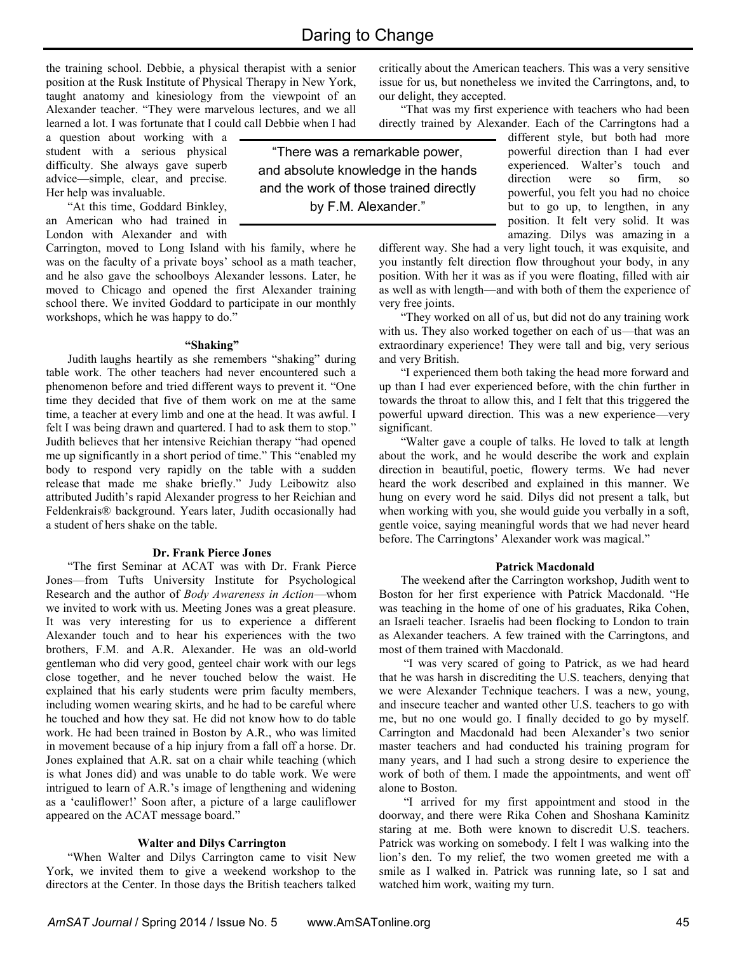the training school. Debbie, a physical therapist with a senior position at the Rusk Institute of Physical Therapy in New York, taught anatomy and kinesiology from the viewpoint of an Alexander teacher. "They were marvelous lectures, and we all learned a lot. I was fortunate that I could call Debbie when I had

a question about working with a student with a serious physical difficulty. She always gave superb advice—simple, clear, and precise. Her help was invaluable.

"At this time, Goddard Binkley, an American who had trained in London with Alexander and with

Carrington, moved to Long Island with his family, where he was on the faculty of a private boys' school as a math teacher, and he also gave the schoolboys Alexander lessons. Later, he moved to Chicago and opened the first Alexander training school there. We invited Goddard to participate in our monthly workshops, which he was happy to do."

## **"Shaking"**

Judith laughs heartily as she remembers "shaking" during table work. The other teachers had never encountered such a phenomenon before and tried different ways to prevent it. "One time they decided that five of them work on me at the same time, a teacher at every limb and one at the head. It was awful. I felt I was being drawn and quartered. I had to ask them to stop." Judith believes that her intensive Reichian therapy "had opened me up significantly in a short period of time." This "enabled my body to respond very rapidly on the table with a sudden release that made me shake briefly." Judy Leibowitz also attributed Judith's rapid Alexander progress to her Reichian and Feldenkrais® background. Years later, Judith occasionally had a student of hers shake on the table.

#### **Dr. Frank Pierce Jones**

"The first Seminar at ACAT was with Dr. Frank Pierce Jones—from Tufts University Institute for Psychological Research and the author of *Body Awareness in Action*—whom we invited to work with us. Meeting Jones was a great pleasure. It was very interesting for us to experience a different Alexander touch and to hear his experiences with the two brothers, F.M. and A.R. Alexander. He was an old-world gentleman who did very good, genteel chair work with our legs close together, and he never touched below the waist. He explained that his early students were prim faculty members, including women wearing skirts, and he had to be careful where he touched and how they sat. He did not know how to do table work. He had been trained in Boston by A.R., who was limited in movement because of a hip injury from a fall off a horse. Dr. Jones explained that A.R. sat on a chair while teaching (which is what Jones did) and was unable to do table work. We were intrigued to learn of A.R.'s image of lengthening and widening as a 'cauliflower!' Soon after, a picture of a large cauliflower appeared on the ACAT message board."

## **Walter and Dilys Carrington**

"When Walter and Dilys Carrington came to visit New York, we invited them to give a weekend workshop to the directors at the Center. In those days the British teachers talked

"There was a remarkable power, and absolute knowledge in the hands and the work of those trained directly by F.M. Alexander."

critically about the American teachers. This was a very sensitive issue for us, but nonetheless we invited the Carringtons, and, to our delight, they accepted.

"That was my first experience with teachers who had been directly trained by Alexander. Each of the Carringtons had a

different style, but both had more powerful direction than I had ever experienced. Walter's touch and direction were so firm, so powerful, you felt you had no choice but to go up, to lengthen, in any position. It felt very solid. It was amazing. Dilys was amazing in a

different way. She had a very light touch, it was exquisite, and you instantly felt direction flow throughout your body, in any position. With her it was as if you were floating, filled with air as well as with length—and with both of them the experience of very free joints.

"They worked on all of us, but did not do any training work with us. They also worked together on each of us--- that was an extraordinary experience! They were tall and big, very serious and very British.

"I experienced them both taking the head more forward and up than I had ever experienced before, with the chin further in towards the throat to allow this, and I felt that this triggered the powerful upward direction. This was a new experience—very significant.

"Walter gave a couple of talks. He loved to talk at length about the work, and he would describe the work and explain direction in beautiful, poetic, flowery terms. We had never heard the work described and explained in this manner. We hung on every word he said. Dilys did not present a talk, but when working with you, she would guide you verbally in a soft, gentle voice, saying meaningful words that we had never heard before. The Carringtons' Alexander work was magical."

## **Patrick Macdonald**

The weekend after the Carrington workshop, Judith went to Boston for her first experience with Patrick Macdonald. "He was teaching in the home of one of his graduates, Rika Cohen, an Israeli teacher. Israelis had been flocking to London to train as Alexander teachers. A few trained with the Carringtons, and most of them trained with Macdonald.

"I was very scared of going to Patrick, as we had heard that he was harsh in discrediting the U.S. teachers, denying that we were Alexander Technique teachers. I was a new, young, and insecure teacher and wanted other U.S. teachers to go with me, but no one would go. I finally decided to go by myself. Carrington and Macdonald had been Alexander's two senior master teachers and had conducted his training program for many years, and I had such a strong desire to experience the work of both of them. I made the appointments, and went off alone to Boston.

"I arrived for my first appointment and stood in the doorway, and there were Rika Cohen and Shoshana Kaminitz staring at me. Both were known to discredit U.S. teachers. Patrick was working on somebody. I felt I was walking into the lion's den. To my relief, the two women greeted me with a smile as I walked in. Patrick was running late, so I sat and watched him work, waiting my turn.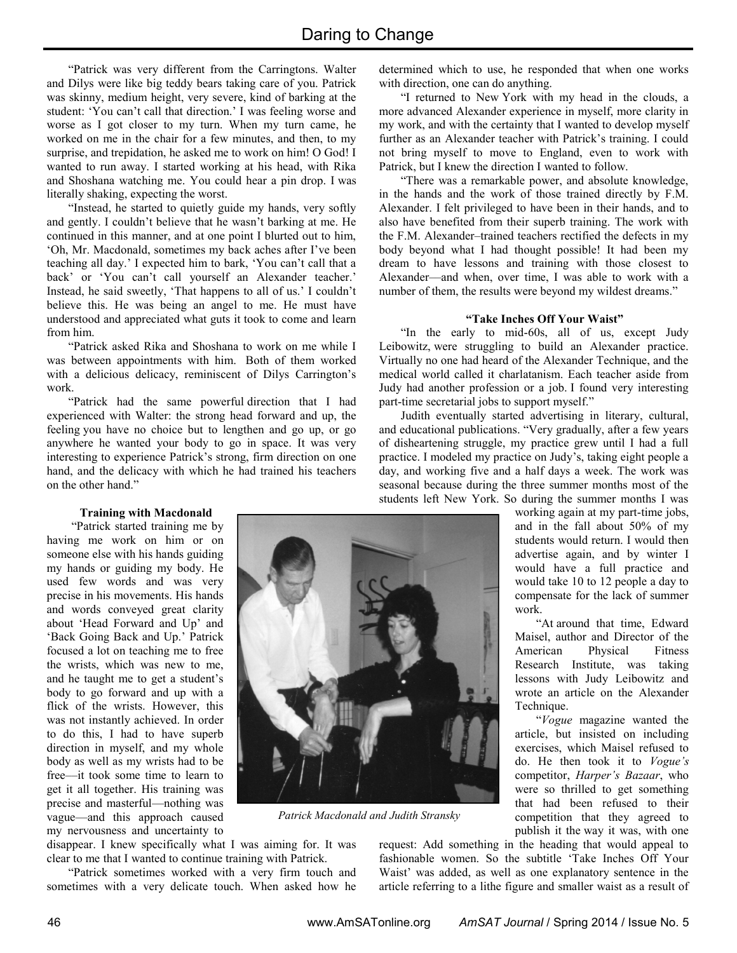"Patrick was very different from the Carringtons. Walter and Dilys were like big teddy bears taking care of you. Patrick was skinny, medium height, very severe, kind of barking at the student: 'You can't call that direction.' I was feeling worse and worse as I got closer to my turn. When my turn came, he worked on me in the chair for a few minutes, and then, to my surprise, and trepidation, he asked me to work on him! O God! I wanted to run away. I started working at his head, with Rika and Shoshana watching me. You could hear a pin drop. I was literally shaking, expecting the worst.

"Instead, he started to quietly guide my hands, very softly and gently. I couldn't believe that he wasn't barking at me. He continued in this manner, and at one point I blurted out to him, 'Oh, Mr. Macdonald, sometimes my back aches after I've been teaching all day.' I expected him to bark, 'You can't call that a back' or 'You can't call yourself an Alexander teacher.' Instead, he said sweetly, 'That happens to all of us.' I couldn't believe this. He was being an angel to me. He must have understood and appreciated what guts it took to come and learn from him.

"Patrick asked Rika and Shoshana to work on me while I was between appointments with him. Both of them worked with a delicious delicacy, reminiscent of Dilys Carrington's work.

"Patrick had the same powerful direction that I had experienced with Walter: the strong head forward and up, the feeling you have no choice but to lengthen and go up, or go anywhere he wanted your body to go in space. It was very interesting to experience Patrick's strong, firm direction on one hand, and the delicacy with which he had trained his teachers on the other hand."

determined which to use, he responded that when one works with direction, one can do anything.

"I returned to New York with my head in the clouds, a more advanced Alexander experience in myself, more clarity in my work, and with the certainty that I wanted to develop myself further as an Alexander teacher with Patrick's training. I could not bring myself to move to England, even to work with Patrick, but I knew the direction I wanted to follow.

"There was a remarkable power, and absolute knowledge, in the hands and the work of those trained directly by F.M. Alexander. I felt privileged to have been in their hands, and to also have benefited from their superb training. The work with the F.M. Alexander–trained teachers rectified the defects in my body beyond what I had thought possible! It had been my dream to have lessons and training with those closest to Alexander––and when, over time, I was able to work with a number of them, the results were beyond my wildest dreams."

## **"Take Inches Off Your Waist"**

"In the early to mid-60s, all of us, except Judy Leibowitz, were struggling to build an Alexander practice. Virtually no one had heard of the Alexander Technique, and the medical world called it charlatanism. Each teacher aside from Judy had another profession or a job. I found very interesting part-time secretarial jobs to support myself."

Judith eventually started advertising in literary, cultural, and educational publications. "Very gradually, after a few years of disheartening struggle, my practice grew until I had a full practice. I modeled my practice on Judy's, taking eight people a day, and working five and a half days a week. The work was seasonal because during the three summer months most of the students left New York. So during the summer months I was

# **Training with Macdonald**

"Patrick started training me by having me work on him or on someone else with his hands guiding my hands or guiding my body. He used few words and was very precise in his movements. His hands and words conveyed great clarity about 'Head Forward and Up' and 'Back Going Back and Up.' Patrick focused a lot on teaching me to free the wrists, which was new to me, and he taught me to get a student's body to go forward and up with a flick of the wrists. However, this was not instantly achieved. In order to do this, I had to have superb direction in myself, and my whole body as well as my wrists had to be free––it took some time to learn to get it all together. His training was precise and masterful—nothing was vague—and this approach caused my nervousness and uncertainty to



*Patrick Macdonald and Judith Stransky*

working again at my part-time jobs, and in the fall about 50% of my students would return. I would then advertise again, and by winter I would have a full practice and would take 10 to 12 people a day to compensate for the lack of summer work.

 "At around that time, Edward Maisel, author and Director of the American Physical Fitness Research Institute, was taking lessons with Judy Leibowitz and wrote an article on the Alexander Technique.

 "*Vogue* magazine wanted the article, but insisted on including exercises, which Maisel refused to do. He then took it to *Vogue's* competitor, *Harper's Bazaar*, who were so thrilled to get something that had been refused to their competition that they agreed to publish it the way it was, with one

request: Add something in the heading that would appeal to fashionable women. So the subtitle 'Take Inches Off Your Waist' was added, as well as one explanatory sentence in the article referring to a lithe figure and smaller waist as a result of

disappear. I knew specifically what I was aiming for. It was clear to me that I wanted to continue training with Patrick.

"Patrick sometimes worked with a very firm touch and sometimes with a very delicate touch. When asked how he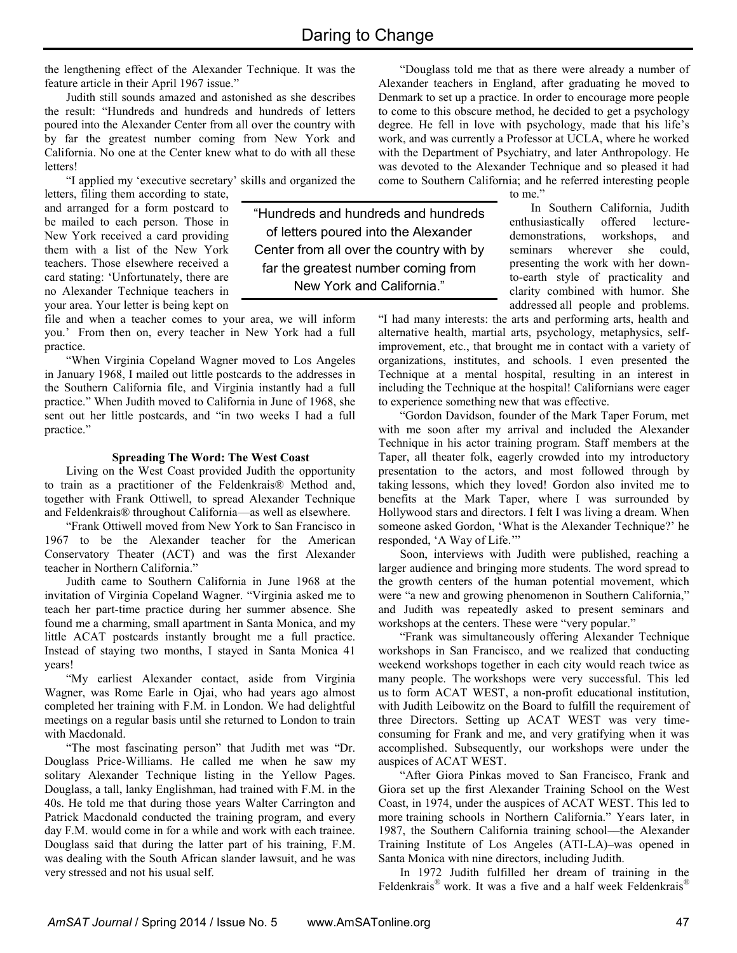the lengthening effect of the Alexander Technique. It was the feature article in their April 1967 issue."

Judith still sounds amazed and astonished as she describes the result: "Hundreds and hundreds and hundreds of letters poured into the Alexander Center from all over the country with by far the greatest number coming from New York and California. No one at the Center knew what to do with all these letters!

"I applied my 'executive secretary' skills and organized the

letters, filing them according to state, and arranged for a form postcard to be mailed to each person. Those in New York received a card providing them with a list of the New York teachers. Those elsewhere received a card stating: 'Unfortunately, there are no Alexander Technique teachers in your area. Your letter is being kept on

file and when a teacher comes to your area, we will inform you.' From then on, every teacher in New York had a full practice.

"When Virginia Copeland Wagner moved to Los Angeles in January 1968, I mailed out little postcards to the addresses in the Southern California file, and Virginia instantly had a full practice." When Judith moved to California in June of 1968, she sent out her little postcards, and "in two weeks I had a full practice."

## **Spreading The Word: The West Coast**

Living on the West Coast provided Judith the opportunity to train as a practitioner of the Feldenkrais® Method and, together with Frank Ottiwell, to spread Alexander Technique and Feldenkrais® throughout California––as well as elsewhere.

"Frank Ottiwell moved from New York to San Francisco in 1967 to be the Alexander teacher for the American Conservatory Theater (ACT) and was the first Alexander teacher in Northern California."

Judith came to Southern California in June 1968 at the invitation of Virginia Copeland Wagner. "Virginia asked me to teach her part-time practice during her summer absence. She found me a charming, small apartment in Santa Monica, and my little ACAT postcards instantly brought me a full practice. Instead of staying two months, I stayed in Santa Monica 41 years!

"My earliest Alexander contact, aside from Virginia Wagner, was Rome Earle in Ojai, who had years ago almost completed her training with F.M. in London. We had delightful meetings on a regular basis until she returned to London to train with Macdonald.

"The most fascinating person" that Judith met was "Dr. Douglass Price-Williams. He called me when he saw my solitary Alexander Technique listing in the Yellow Pages. Douglass, a tall, lanky Englishman, had trained with F.M. in the 40s. He told me that during those years Walter Carrington and Patrick Macdonald conducted the training program, and every day F.M. would come in for a while and work with each trainee. Douglass said that during the latter part of his training, F.M. was dealing with the South African slander lawsuit, and he was very stressed and not his usual self.

"Douglass told me that as there were already a number of Alexander teachers in England, after graduating he moved to Denmark to set up a practice. In order to encourage more people to come to this obscure method, he decided to get a psychology degree. He fell in love with psychology, made that his life's work, and was currently a Professor at UCLA, where he worked with the Department of Psychiatry, and later Anthropology. He was devoted to the Alexander Technique and so pleased it had come to Southern California; and he referred interesting people

"Hundreds and hundreds and hundreds of letters poured into the Alexander Center from all over the country with by far the greatest number coming from New York and California."

to me."

 In Southern California, Judith enthusiastically offered lecturedemonstrations, workshops, and seminars wherever she could, presenting the work with her downto-earth style of practicality and clarity combined with humor. She addressed all people and problems.

"I had many interests: the arts and performing arts, health and alternative health, martial arts, psychology, metaphysics, selfimprovement, etc., that brought me in contact with a variety of organizations, institutes, and schools. I even presented the Technique at a mental hospital, resulting in an interest in including the Technique at the hospital! Californians were eager to experience something new that was effective.

"Gordon Davidson, founder of the Mark Taper Forum, met with me soon after my arrival and included the Alexander Technique in his actor training program. Staff members at the Taper, all theater folk, eagerly crowded into my introductory presentation to the actors, and most followed through by taking lessons, which they loved! Gordon also invited me to benefits at the Mark Taper, where I was surrounded by Hollywood stars and directors. I felt I was living a dream. When someone asked Gordon, 'What is the Alexander Technique?' he responded, 'A Way of Life.'"

Soon, interviews with Judith were published, reaching a larger audience and bringing more students. The word spread to the growth centers of the human potential movement, which were "a new and growing phenomenon in Southern California," and Judith was repeatedly asked to present seminars and workshops at the centers. These were "very popular."

"Frank was simultaneously offering Alexander Technique workshops in San Francisco, and we realized that conducting weekend workshops together in each city would reach twice as many people. The workshops were very successful. This led us to form ACAT WEST, a non-profit educational institution, with Judith Leibowitz on the Board to fulfill the requirement of three Directors. Setting up ACAT WEST was very timeconsuming for Frank and me, and very gratifying when it was accomplished. Subsequently, our workshops were under the auspices of ACAT WEST.

"After Giora Pinkas moved to San Francisco, Frank and Giora set up the first Alexander Training School on the West Coast, in 1974, under the auspices of ACAT WEST. This led to more training schools in Northern California." Years later, in 1987, the Southern California training school––the Alexander Training Institute of Los Angeles (ATI-LA)–was opened in Santa Monica with nine directors, including Judith.

In 1972 Judith fulfilled her dream of training in the Feldenkrais<sup>®</sup> work. It was a five and a half week Feldenkrais<sup>®</sup>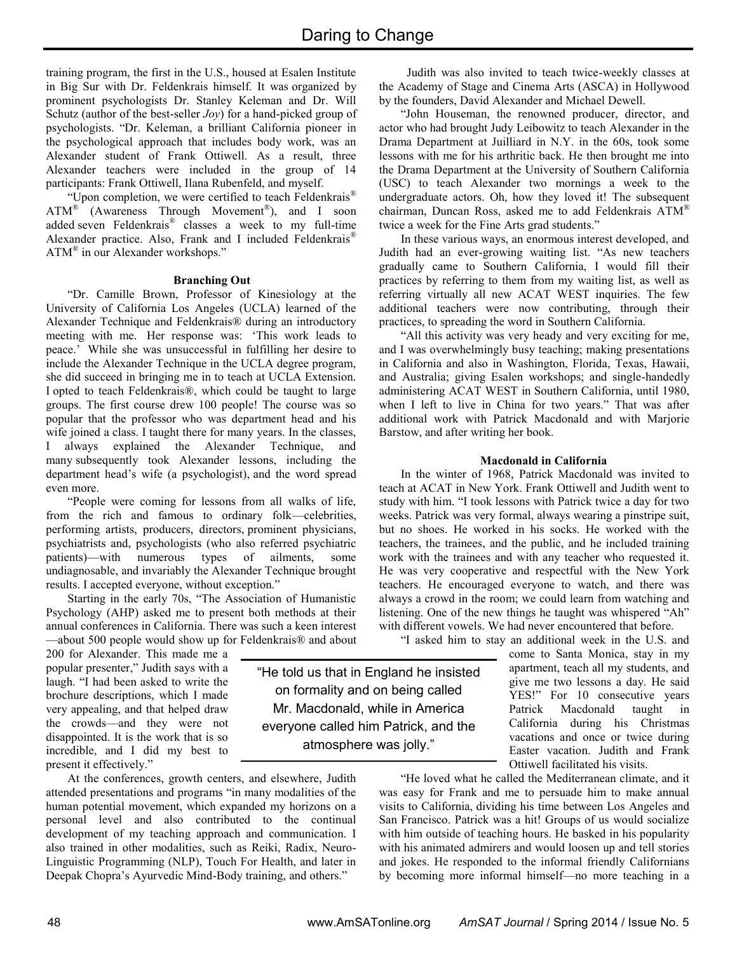training program, the first in the U.S., housed at Esalen Institute in Big Sur with Dr. Feldenkrais himself. It was organized by prominent psychologists Dr. Stanley Keleman and Dr. Will Schutz (author of the best-seller *Joy*) for a hand-picked group of psychologists. "Dr. Keleman, a brilliant California pioneer in the psychological approach that includes body work, was an Alexander student of Frank Ottiwell. As a result, three Alexander teachers were included in the group of 14 participants: Frank Ottiwell, Ilana Rubenfeld, and myself.

"Upon completion, we were certified to teach Feldenkrais®  $ATM^{\circledR}$  (Awareness Through Movement<sup>®</sup>), and I soon added seven Feldenkrais® classes a week to my full-time Alexander practice. Also, Frank and I included Feldenkrais<sup>®</sup> ATM® in our Alexander workshops."

## **Branching Out**

"Dr. Camille Brown, Professor of Kinesiology at the University of California Los Angeles (UCLA) learned of the Alexander Technique and Feldenkrais® during an introductory meeting with me. Her response was: 'This work leads to peace.' While she was unsuccessful in fulfilling her desire to include the Alexander Technique in the UCLA degree program, she did succeed in bringing me in to teach at UCLA Extension. I opted to teach Feldenkrais®, which could be taught to large groups. The first course drew 100 people! The course was so popular that the professor who was department head and his wife joined a class. I taught there for many years. In the classes, I always explained the Alexander Technique, and many subsequently took Alexander lessons, including the department head's wife (a psychologist), and the word spread even more.

"People were coming for lessons from all walks of life, from the rich and famous to ordinary folk––celebrities, performing artists, producers, directors, prominent physicians, psychiatrists and, psychologists (who also referred psychiatric patients)—with numerous types of ailments, some undiagnosable, and invariably the Alexander Technique brought results. I accepted everyone, without exception."

Starting in the early 70s, "The Association of Humanistic Psychology (AHP) asked me to present both methods at their annual conferences in California. There was such a keen interest ––about 500 people would show up for Feldenkrais® and about

200 for Alexander. This made me a popular presenter," Judith says with a laugh. "I had been asked to write the brochure descriptions, which I made very appealing, and that helped draw the crowds––and they were not disappointed. It is the work that is so incredible, and I did my best to present it effectively."

At the conferences, growth centers, and elsewhere, Judith attended presentations and programs "in many modalities of the human potential movement, which expanded my horizons on a personal level and also contributed to the continual development of my teaching approach and communication. I also trained in other modalities, such as Reiki, Radix, Neuro-Linguistic Programming (NLP), Touch For Health, and later in Deepak Chopra's Ayurvedic Mind-Body training, and others."

Judith was also invited to teach twice-weekly classes at the Academy of Stage and Cinema Arts (ASCA) in Hollywood by the founders, David Alexander and Michael Dewell.

"John Houseman, the renowned producer, director, and actor who had brought Judy Leibowitz to teach Alexander in the Drama Department at Juilliard in N.Y. in the 60s, took some lessons with me for his arthritic back. He then brought me into the Drama Department at the University of Southern California (USC) to teach Alexander two mornings a week to the undergraduate actors. Oh, how they loved it! The subsequent chairman, Duncan Ross, asked me to add Feldenkrais ATM® twice a week for the Fine Arts grad students."

In these various ways, an enormous interest developed, and Judith had an ever-growing waiting list. "As new teachers gradually came to Southern California, I would fill their practices by referring to them from my waiting list, as well as referring virtually all new ACAT WEST inquiries. The few additional teachers were now contributing, through their practices, to spreading the word in Southern California.

"All this activity was very heady and very exciting for me, and I was overwhelmingly busy teaching; making presentations in California and also in Washington, Florida, Texas, Hawaii, and Australia; giving Esalen workshops; and single-handedly administering ACAT WEST in Southern California, until 1980, when I left to live in China for two years." That was after additional work with Patrick Macdonald and with Marjorie Barstow, and after writing her book.

## **Macdonald in California**

In the winter of 1968, Patrick Macdonald was invited to teach at ACAT in New York. Frank Ottiwell and Judith went to study with him. "I took lessons with Patrick twice a day for two weeks. Patrick was very formal, always wearing a pinstripe suit, but no shoes. He worked in his socks. He worked with the teachers, the trainees, and the public, and he included training work with the trainees and with any teacher who requested it. He was very cooperative and respectful with the New York teachers. He encouraged everyone to watch, and there was always a crowd in the room; we could learn from watching and listening. One of the new things he taught was whispered "Ah" with different vowels. We had never encountered that before.

"I asked him to stay an additional week in the U.S. and

come to Santa Monica, stay in my apartment, teach all my students, and give me two lessons a day. He said YES!" For 10 consecutive years Patrick Macdonald taught in California during his Christmas vacations and once or twice during Easter vacation. Judith and Frank Ottiwell facilitated his visits.

"He loved what he called the Mediterranean climate, and it was easy for Frank and me to persuade him to make annual visits to California, dividing his time between Los Angeles and San Francisco. Patrick was a hit! Groups of us would socialize with him outside of teaching hours. He basked in his popularity with his animated admirers and would loosen up and tell stories and jokes. He responded to the informal friendly Californians by becoming more informal himself––no more teaching in a

"He told us that in England he insisted on formality and on being called Mr. Macdonald, while in America everyone called him Patrick, and the atmosphere was jolly."